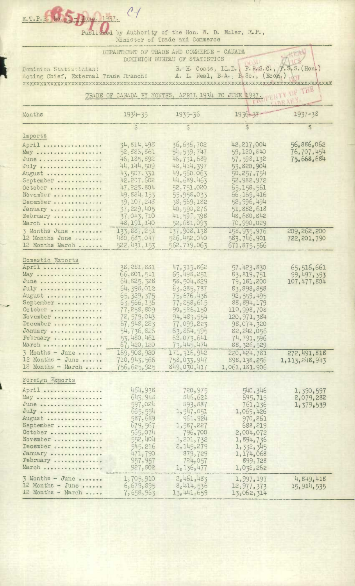E.T.P. B. No. 1 - June, 1937. Published by Authority of the Hon. W. D. Euler, M.P., Minister of Trade and Commerce DEPARTMENT OF TRADE AND COMMERCE - CANADA DOMINION BUREAU OF STATISTICS R. H. Coats, LL.D., F.R.S.C., F.S.S. (Hon.)<br>A. L. Neal, B.A., B.Sc., (Econ.) Dominion Statistician: Acting Chief, External Trade Branch: **AF THE** TRADE OF CANADA BY MONTHS, APRIL 1934 TO JUNE 1937.  $1936 - 37 1937 - 38$ 1934-35 1935-36 Months  $\vec{S}$ Ś \$  $\dot{\mathbb{S}}$ Imports 36, 636, 702<br>5: 539, 747<br>46, 731, 689 April ................. 34,814,498 42, 217, 004 56,886,062 76,707,454 52,886,861 59,120,840 May .................... 57, 598, 132 75,668,684 46, 185, 892 48, 414, 397 July .................. 53,820,904 44, 144, 509 August ................ 49,560,063 43,507,331 50, 257, 754 42,207,602 44, 589, 463 September ............. 52,982,972 October ............... 47,228,804 52,751,020 65, 158, 561 55,958,033 November............. 49:884.155 66.169,416 39.107.248 38, 569, 182 52, 996, 494 December .............. 37:229,405<br>37:043,710 40.590,276 51,882,618 January ............... 41, 597, 598<br>52, 681, 093 Bebruary .............. 48,680,842 48, 191, 140 70,990,029 March ................. 158, 935, 976<br>583, 746, 901 133.887,251<br>480.683.047 137, 908, 138<br>526, 452, 040 3 Months June ......... 209, 262, 200 12 Months June ........ 722, 201, 790 12 Months March ....... 522, 431, 153 562,719,063 671,875,566 Domestic Exports 65, 516, 661<br>99, 497, 353<br>107, 477, 804 47.313,862<br>65.498,251 38,281,881 April ................ 57, 423, 830 66,801,511 May ................... 83, 819, 751 64, 825, 528 58,504,829 June .................. 79,181,200 64.398.012 63.285.787 July .................. 83,898,858 65. 329, 375<br>63. 566, 136 75, 676, 436 92, 559, 495<br>88, 894, 179 August ................ September .............  $77.258, 615$ 90, 526, 150 77.258.809 October ............... 110,998,708 72, 579, 043<br>67, 948, 223 120, 971, 384<br>98, 074, 320 November .............. 94, 483, 554 December .............. 77,099,223 543, 225<br>54, 736, 826<br>53, 480, 461<br>67, 420, 120<br>169, 908, 920<br>710, 943, 566 63,864,595 82, 242, 056 January ............... 74, 791, 596 February ..............  $62.073,641$ 88, 326, 529 73.445.474 March ................ 171, 316, 942 220, 424, 781 3 Months - June ....... 272, 491, 818 12 Months - June ......<br>12 Months - March ..... 758,033,947<br>849,030,417 898, 138, 256 1, 113, 248, 943 756, 625, 925 1,061,181,906 Foreign Exports 464,938 April ................. 720,975 540.346 1,390,597 643.948  $815,621$ 695,715 2,079,282 May ................... 597,024<br>665,554<br>587,689 893,887 761,136 June .................. 1,379,539 1,069,426 July ................... 1,547,051 970, 261<br>688, 219 August ................ 961, 924 679,567 1,587,227 September ............. 565,074 796,700 2,004,072 October ............... 1,201,732 552,404 1,894,736 November .............. December .............. 1, 332, 345 545, 216 2,145,279 471.790 879,729 1, 174, 068 January ............... February .............. 1,032,262 927,802  $1.136.477$ March ................. 2,461,483 3 Months - June ....... 1,705.910 1,997,197 4,849,418 12, 977, 373 12 Months - June ......  $6.679.895$ 8, 414, 536 15, 914, 535 12 Months - March ..... 13,062,314 7.658,963 13,441.659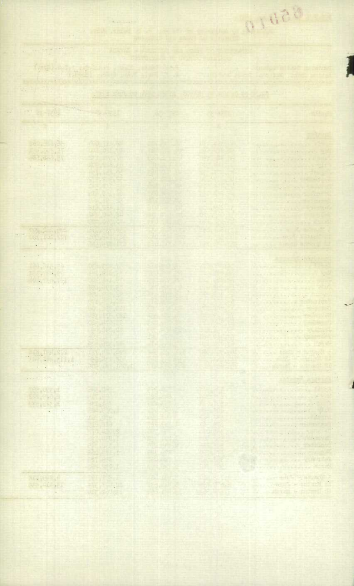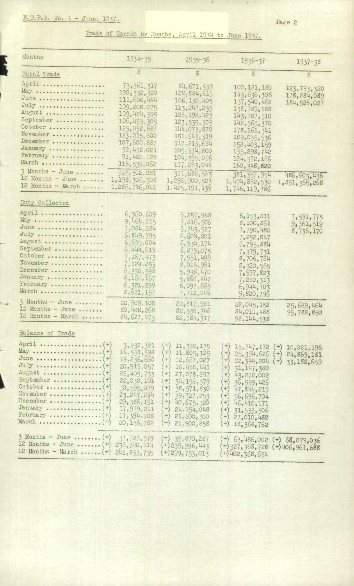## E.T.P.B. No. 1 - June, 1937.

Trade of Canada by Months, April 1934 to June 1937.

 $\mathbbm{1}$ 

| Months                    | 1934-35          | $1935 - 36$             | $1936 - 37$                             | $1937 - 38$           |
|---------------------------|------------------|-------------------------|-----------------------------------------|-----------------------|
| Total Trade               | \$               | \$                      | Ŝ                                       | $\frac{4}{5}$         |
| April                     | 73,561,317       |                         |                                         |                       |
| May                       |                  | 84, 671, 539            | 100, 131, 130                           | 123,793,320           |
| June                      | 120, 332, 320    | 120,884,619             | 143,636,306                             | 178,284,089           |
|                           | 111,608,444      | 106, 130, 405           | 137,540,468                             | 184, 526, 027         |
| $July$                    | 109,208,075      | 113, 247, 235           | 138,789,188                             |                       |
| August                    | 109, 424, 395    | 126, 198, 423           | 143,787,510                             |                       |
| September                 | 106, 453, 305    | 123, 535, 305           | 142, 565, 370                           |                       |
| October                   | 125,052,687      | 144,073,870             | 178, 161, 341                           |                       |
| November                  | 123,015,600      | 151, 643, 319           | 189,035,536                             |                       |
| December                  | 107,600,687      | 117.813,684             | 152, 403, 159                           |                       |
| January                   | 92, 438, 021     | 105:334,600             | 135, 298, 742                           |                       |
| February                  | 91, 482, 128     | 104, 395, 096           | 124, 372, 166                           |                       |
| March                     | 116, 539, 062    | 127, 263, 044           | 160, 348, 820                           |                       |
| 3 Months - June           | 35,502,081       | 311,686,563             |                                         |                       |
| 12 Months - June          | 1, 198, 306, 508 | 1,292,900,523           | 381, 357, 954                           | 486,603,436           |
| 12 Months - March         | 1,286,716,041    | 1.425, 191.139          | 1, 494, 862, 530                        | 1,851,365,268         |
|                           |                  |                         | 1,746,119,786                           |                       |
| Duty Collected            |                  |                         |                                         |                       |
|                           |                  |                         |                                         |                       |
| April                     | 6,360,609        | 6,257,948               | 6, 153, 811                             | 7,591,775             |
| May                       | 9,464.215        | 7,816,506               | 8,100,861                               | 9,361,519             |
| June                      | 7,084.284        | 6, 743, 527             | 7,790,480                               | 8,736,170             |
| July <i>execution </i>    | 6.849.795        | 6,609,801               | 7,252,847                               |                       |
| August                    | 6,693.004        | 6,934,174               | 6,795,884                               |                       |
| September accorrespressor | 6,444,619        | 6, 339, 075             | 7,379,731                               |                       |
| October                   | 7, 167, 473      | 7,951,499               | 8,706,724                               |                       |
| November                  | 7,124,253        | 8,016,961               | 8,320,565                               |                       |
| December                  | 6.330,598        | 5.938.470               | 7,597,823                               |                       |
| January                   | 6,166,167        | 5,866,447               | 7,280,313                               |                       |
| February                  | 6, 321, 299      | 6,097,665               | 6.944.703                               |                       |
| March                     | 8,621,157        | 7,712,244               | 9,820,796                               |                       |
|                           |                  |                         |                                         |                       |
| $3$ Months - June         | 22, 909, 108     | 20, 817, 981            | 22,045,152                              | 25,689,464            |
| 12 Months - June          | 80,408,268       | 82, 536, 346            | 84,011,488                              | 95,788,850            |
| 12 Months - March         | 84, 627, 473     | 82,784,317              | 92, 144, 538                            |                       |
|                           |                  |                         |                                         |                       |
| Balance of Trade          |                  |                         |                                         |                       |
| April (+)                 | 3,932,321        | $(+)$<br>11, 398, 135   | $(+)$<br>15,747,172                     |                       |
|                           | 14.558,598       | $(+)$<br>11,805,125     |                                         | $(+)$<br>10,021,196   |
| June (+)                  | 19.236.660       | 12,667,027<br>$(+)$     | $(+)$<br>25,394,626                     | 24, 869, 181<br>$(+)$ |
| July (+)                  | 20,919,057       | $(+)$                   | $(+)$<br>22,344,204                     | $(+)$<br>33,188,659   |
|                           | 22,409:733       | 16,418,441              | $(+)$<br>31, 147, 380                   |                       |
| September (+)             |                  | $(+)$<br>27,078,297     | $(+)$<br>43,272,002                     |                       |
| October $(+)$             | 22,038,101       | $(+)$<br>34, 156, 379   | $^{(+)}$<br>36, 599, 426                |                       |
|                           | 30,595,079       | $(+)$<br>38.571,830     | $(+)$<br>47,844,219                     |                       |
| November                  | 23, 247, 294     | $(\lnot)$<br>39,727,253 | $(+)$<br>56, 696, 704                   |                       |
|                           | 29, 386, 191     | $(+)$<br>40, 675, 320   | $+)$<br>46, 410, 171                    |                       |
| January $(+)$             | .7,979,211       | $(+)$<br>24, 154, 048   | $(+)$<br>31, 533, 506                   |                       |
| February (+)              | 17,394,708       | $(+)$<br>21, 200, 300   | $(+)$<br>27,010,482                     |                       |
|                           | 20, 156, 782     | $(+)$<br>21,900,858     | $(+)$<br>18, 368, 762                   |                       |
|                           |                  |                         |                                         |                       |
| $3$ Months - June $(+)$   | 37,727,579       | $(*)$ 35,870,287        | $(+)$ 63,486,002 (+) 68,079,036         |                       |
| 12 Months - June $(+)$    | 236, 940, 414    | $(+)$ 239, 996, 443     | $(+)$ 327, 368, 728 $(+)$ 406, 961, 688 |                       |
| 12 Months - March $(+)$   | 241,853,735      | $(+)299,753,013$        | $(+)$ 402, 368, 654                     |                       |
|                           |                  |                         |                                         |                       |